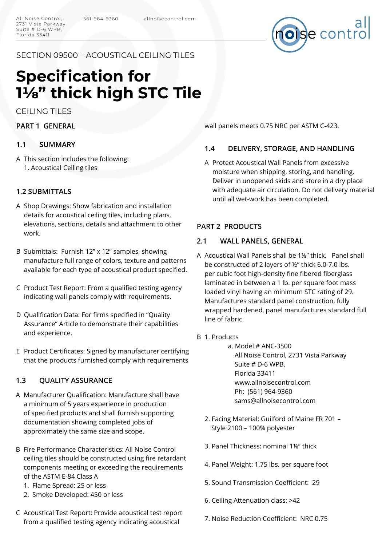

# SECTION 09500 – ACOUSTICAL CEILING TILES

# **Specification for 1⅛" thick high STC Tile**

CEILING TILES

**PART 1 GENERAL**

## **1.1 SUMMARY**

This section includes the following: A 1. Acoustical Ceiling tiles

# **1.2 SUBMITTALS**

- A Shop Drawings: Show fabrication and installation details for acoustical ceiling tiles, including plans, elevations, sections, details and attachment to other work.
- B Submittals: Furnish 12" x 12" samples, showing manufacture full range of colors, texture and patterns available for each type of acoustical product specified.
- C Product Test Report: From a qualified testing agency indicating wall panels comply with requirements.
- D Qualification Data: For firms specified in "Quality Assurance" Article to demonstrate their capabilities and experience.
- E Product Certificates: Signed by manufacturer certifying that the products furnished comply with requirements

# **1.3 QUALITY ASSURANCE**

- Manufacturer Qualification: Manufacture shall have A a minimum of 5 years experience in production of specified products and shall furnish supporting documentation showing completed jobs of approximately the same size and scope.
- B Fire Performance Characteristics: All Noise Control ceiling tiles should be constructed using fire retardant components meeting or exceeding the requirements of the ASTM E-84 Class A
	- 1. Flame Spread: 25 or less
	- 2. Smoke Developed: 450 or less
- C Acoustical Test Report: Provide acoustical test report from a qualified testing agency indicating acoustical

wall panels meets 0.75 NRC per ASTM C-423.

# **1.4 DELIVERY, STORAGE, AND HANDLING**

A Protect Acoustical Wall Panels from excessive moisture when shipping, storing, and handling. Deliver in unopened skids and store in a dry place with adequate air circulation. Do not delivery material until all wet-work has been completed.

## **PART 2 PRODUCTS**

## **2.1 WALL PANELS, GENERAL**

- A Acoustical Wall Panels shall be 1¼" thick. Panel shall be constructed of 2 layers of ½" thick 6.0-7.0 lbs. per cubic foot high-density fine fibered fiberglass laminated in between a 1 lb. per square foot mass loaded vinyl having an minimum STC rating of 29. Manufactures standard panel construction, fully wrapped hardened, panel manufactures standard full line of fabric.
- B 1. Products
	- a. Model # ANC-3500 All Noise Control, 2731 Vista Parkway Suite # D-6 WPB, Florida 33411 www.allnoisecontrol.com Ph: (561) 964-9360 sams@allnoisecontrol.com
	- 2. Facing Material: Guilford of Maine FR 701 Style 2100 – 100% polyester
	- 3. Panel Thickness: nominal 1⅛" thick
	- 4. Panel Weight: 1.75 lbs. per square foot
	- 5. Sound Transmission Coefficient: 29
	- 6. Ceiling Attenuation class: >42
	- 7. Noise Reduction Coefficient: NRC 0.75